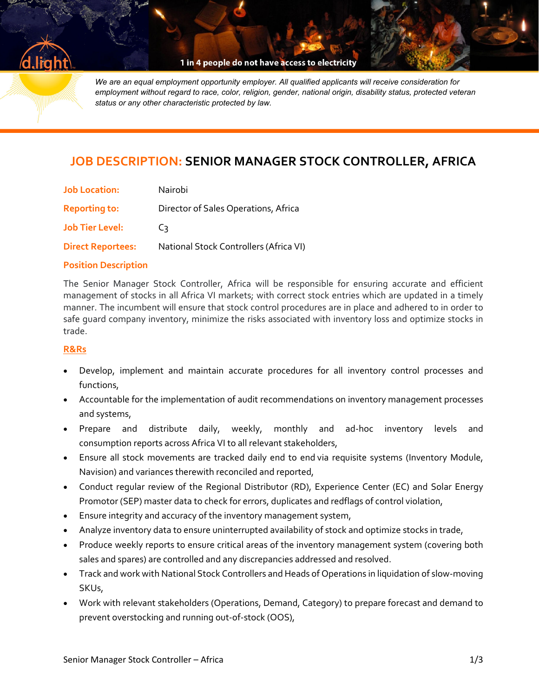

1 in 4 people do not have access to electricity

*We are an equal employment opportunity employer. All qualified applicants will receive consideration for employment without regard to race, color, religion, gender, national origin, disability status, protected veteran status or any other characteristic protected by law.*

# **JOB DESCRIPTION: SENIOR MANAGER STOCK CONTROLLER, AFRICA**

| <b>Job Location:</b>     | Nairobi                                |
|--------------------------|----------------------------------------|
| <b>Reporting to:</b>     | Director of Sales Operations, Africa   |
| <b>Job Tier Level:</b>   | C٦.                                    |
| <b>Direct Reportees:</b> | National Stock Controllers (Africa VI) |

#### **Position Description**

The Senior Manager Stock Controller, Africa will be responsible for ensuring accurate and efficient management of stocks in all Africa VI markets; with correct stock entries which are updated in a timely manner. The incumbent will ensure that stock control procedures are in place and adhered to in order to safe guard company inventory, minimize the risks associated with inventory loss and optimize stocks in trade.

### **R&Rs**

- Develop, implement and maintain accurate procedures for all inventory control processes and functions,
- Accountable for the implementation of audit recommendations on inventory management processes and systems,
- Prepare and distribute daily, weekly, monthly and ad-hoc inventory levels and consumption reports across Africa VI to all relevant stakeholders,
- Ensure all stock movements are tracked daily end to end via requisite systems (Inventory Module, Navision) and variances therewith reconciled and reported,
- Conduct regular review of the Regional Distributor (RD), Experience Center (EC) and Solar Energy Promotor (SEP) master data to check for errors, duplicates and redflags of control violation,
- Ensure integrity and accuracy of the inventory management system,
- Analyze inventory data to ensure uninterrupted availability of stock and optimize stocks in trade,
- Produce weekly reports to ensure critical areas of the inventory management system (covering both sales and spares) are controlled and any discrepancies addressed and resolved.
- Track and work with National Stock Controllers and Heads of Operations in liquidation of slow-moving SKUs,
- Work with relevant stakeholders (Operations, Demand, Category) to prepare forecast and demand to prevent overstocking and running out-of-stock (OOS),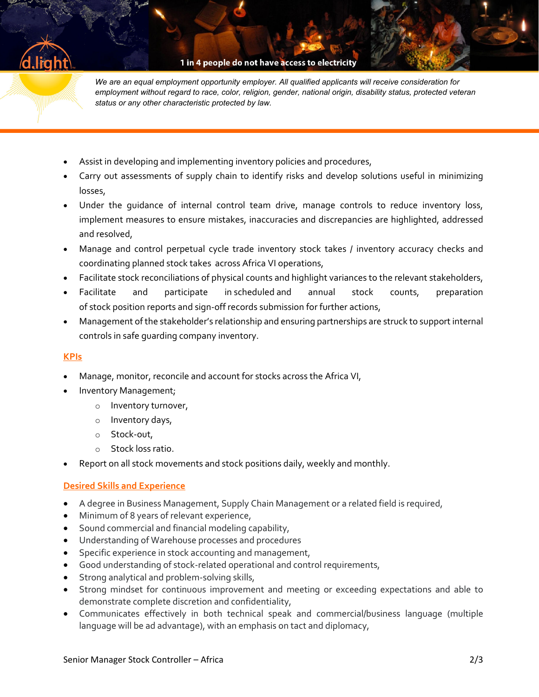1 in 4 people do not have access to electricity

*We are an equal employment opportunity employer. All qualified applicants will receive consideration for employment without regard to race, color, religion, gender, national origin, disability status, protected veteran status or any other characteristic protected by law.*

- Assist in developing and implementing inventory policies and procedures,
- Carry out assessments of supply chain to identify risks and develop solutions useful in minimizing losses,
- Under the guidance of internal control team drive, manage controls to reduce inventory loss, implement measures to ensure mistakes, inaccuracies and discrepancies are highlighted, addressed and resolved,
- Manage and control perpetual cycle trade inventory stock takes / inventory accuracy checks and coordinating planned stock takes across Africa VI operations,
- Facilitate stock reconciliations of physical counts and highlight variances to the relevant stakeholders,
- Facilitate and participate in scheduled and annual stock counts, preparation of stock position reports and sign-off records submission for further actions,
- Management of the stakeholder's relationship and ensuring partnerships are struck to support internal controls in safe guarding company inventory.

# **KPIs**

- Manage, monitor, reconcile and account for stocks across the Africa VI,
- Inventory Management;
	- o Inventory turnover,
	- o Inventory days,
	- o Stock-out,
	- o Stock loss ratio.
- Report on all stock movements and stock positions daily, weekly and monthly.

# **Desired Skills and Experience**

- A degree in Business Management, Supply Chain Management or a related field is required,
- Minimum of 8 years of relevant experience,
- Sound commercial and financial modeling capability,
- Understanding of Warehouse processes and procedures
- Specific experience in stock accounting and management,
- Good understanding of stock-related operational and control requirements,
- **•** Strong analytical and problem-solving skills,
- Strong mindset for continuous improvement and meeting or exceeding expectations and able to demonstrate complete discretion and confidentiality,
- Communicates effectively in both technical speak and commercial/business language (multiple language will be ad advantage), with an emphasis on tact and diplomacy,